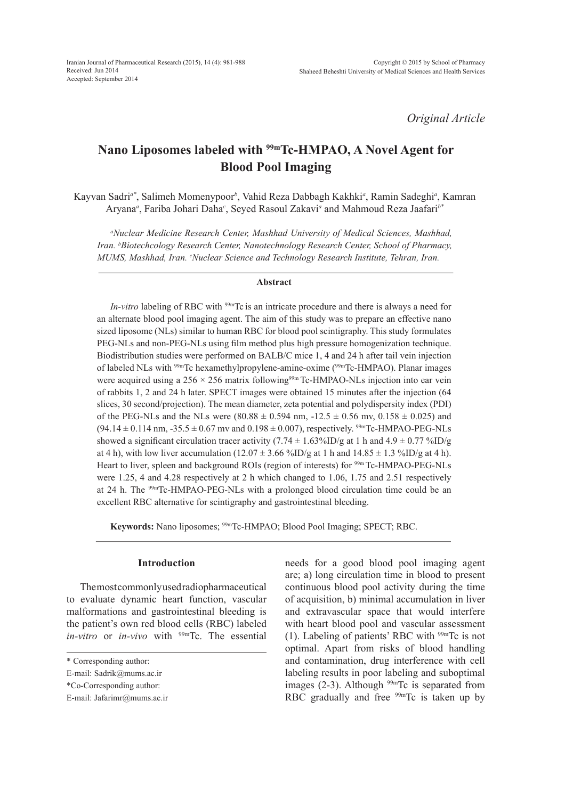*Original Article*

# **Nano Liposomes labeled with 99mTc-HMPAO, A Novel Agent for Blood Pool Imaging**

Kayvan Sadri*a\**, Salimeh Momenypoor*<sup>b</sup>* , Vahid Reza Dabbagh Kakhki*<sup>a</sup>* , Ramin Sadeghi*<sup>a</sup>* , Kamran Aryana*<sup>a</sup>* , Fariba Johari Daha*<sup>c</sup>* , Seyed Rasoul Zakavi*<sup>a</sup>* and Mahmoud Reza Jaafari*b\**

*a Nuclear Medicine Research Center, Mashhad University of Medical Sciences, Mashhad, Iran. b Biotechcology Research Center, Nanotechnology Research Center, School of Pharmacy, MUMS, Mashhad, Iran. c Nuclear Science and Technology Research Institute, Tehran, Iran.*

## **Abstract**

*In-vitro* labeling of RBC with <sup>99m</sup>Tc is an intricate procedure and there is always a need for an alternate blood pool imaging agent. The aim of this study was to prepare an effective nano sized liposome (NLs) similar to human RBC for blood pool scintigraphy. This study formulates PEG-NLs and non-PEG-NLs using film method plus high pressure homogenization technique. Biodistribution studies were performed on BALB/C mice 1, 4 and 24 h after tail vein injection of labeled NLs with 99mTc hexamethylpropylene-amine-oxime (99mTc-HMPAO). Planar images were acquired using a  $256 \times 256$  matrix following<sup>99m</sup> Tc-HMPAO-NLs injection into ear vein of rabbits 1, 2 and 24 h later. SPECT images were obtained 15 minutes after the injection (64 slices, 30 second/projection). The mean diameter, zeta potential and polydispersity index (PDI) of the PEG-NLs and the NLs were  $(80.88 \pm 0.594 \text{ nm}, -12.5 \pm 0.56 \text{ mv}, 0.158 \pm 0.025)$  and  $(94.14 \pm 0.114 \text{ nm}, -35.5 \pm 0.67 \text{ mv} \text{ and } 0.198 \pm 0.007)$ , respectively. <sup>99m</sup>Tc-HMPAO-PEG-NLs showed a significant circulation tracer activity  $(7.74 \pm 1.63\% \text{ID/g} \text{ at } 1 \text{ h and } 4.9 \pm 0.77\% \text{ID/g} \text{ }$ at 4 h), with low liver accumulation  $(12.07 \pm 3.66 \text{ %ID/g at 1 h and } 14.85 \pm 1.3 \text{ %ID/g at 4 h}).$ Heart to liver, spleen and background ROIs (region of interests) for <sup>99m</sup> Tc-HMPAO-PEG-NLs were 1.25, 4 and 4.28 respectively at 2 h which changed to 1.06, 1.75 and 2.51 respectively at 24 h. The 99mTc-HMPAO-PEG-NLs with a prolonged blood circulation time could be an excellent RBC alternative for scintigraphy and gastrointestinal bleeding.

**Keywords:** Nano liposomes; 99mTc-HMPAO; Blood Pool Imaging; SPECT; RBC.

# **Introduction**

The most commonly used radiopharmaceutical to evaluate dynamic heart function, vascular malformations and gastrointestinal bleeding is the patient's own red blood cells (RBC) labeled *in-vitro* or *in-vivo* with 99mTc. The essential needs for a good blood pool imaging agent are; a) long circulation time in blood to present continuous blood pool activity during the time of acquisition, b) minimal accumulation in liver and extravascular space that would interfere with heart blood pool and vascular assessment (1). Labeling of patients' RBC with  $99mTc$  is not optimal. Apart from risks of blood handling and contamination, drug interference with cell labeling results in poor labeling and suboptimal images  $(2-3)$ . Although  $99m$ Tc is separated from RBC gradually and free <sup>99m</sup>Tc is taken up by

<sup>\*</sup> Corresponding author:

E-mail: Sadrik@mums.ac.ir

<sup>\*</sup>Co-Corresponding author:

E-mail: Jafarimr@mums.ac.ir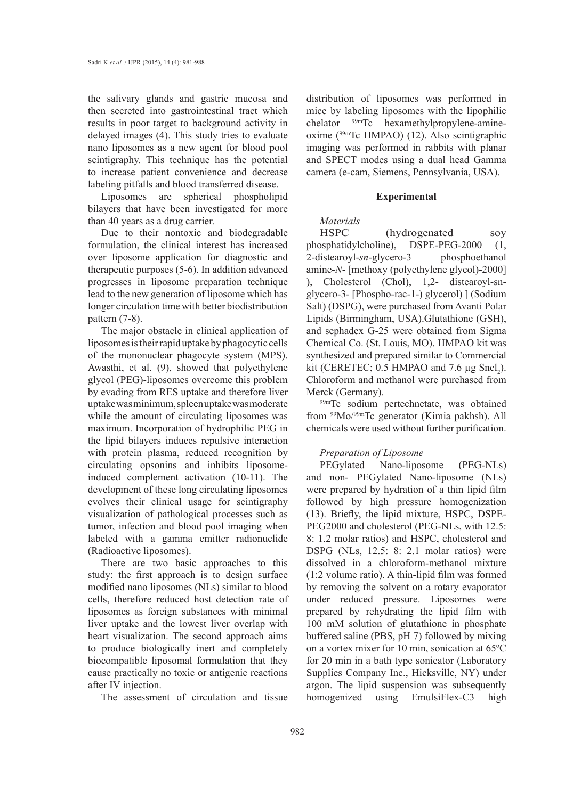the salivary glands and gastric mucosa and then secreted into gastrointestinal tract which results in poor target to background activity in delayed images (4). This study tries to evaluate nano liposomes as a new agent for blood pool scintigraphy. This technique has the potential to increase patient convenience and decrease labeling pitfalls and blood transferred disease.

Liposomes are spherical phospholipid bilayers that have been investigated for more than 40 years as a drug carrier.

Due to their nontoxic and biodegradable formulation, the clinical interest has increased over liposome application for diagnostic and therapeutic purposes (5-6). In addition advanced progresses in liposome preparation technique lead to the new generation of liposome which has longer circulation time with better biodistribution pattern (7-8).

The major obstacle in clinical application of liposomes is their rapid uptake by phagocytic cells of the mononuclear phagocyte system (MPS). Awasthi, et al. (9), showed that polyethylene glycol (PEG)-liposomes overcome this problem by evading from RES uptake and therefore liver uptake was minimum, spleen uptake was moderate while the amount of circulating liposomes was maximum. Incorporation of hydrophilic PEG in the lipid bilayers induces repulsive interaction with protein plasma, reduced recognition by circulating opsonins and inhibits liposomeinduced complement activation (10-11). The development of these long circulating liposomes evolves their clinical usage for scintigraphy visualization of pathological processes such as tumor, infection and blood pool imaging when labeled with a gamma emitter radionuclide (Radioactive liposomes).

There are two basic approaches to this study: the first approach is to design surface modified nano liposomes (NLs) similar to blood cells, therefore reduced host detection rate of liposomes as foreign substances with minimal liver uptake and the lowest liver overlap with heart visualization. The second approach aims to produce biologically inert and completely biocompatible liposomal formulation that they cause practically no toxic or antigenic reactions after IV injection.

The assessment of circulation and tissue

distribution of liposomes was performed in mice by labeling liposomes with the lipophilic chelator <sup>99m</sup>Tc hexamethylpropylene-amineoxime (99mTc HMPAO) (12). Also scintigraphic imaging was performed in rabbits with planar and SPECT modes using a dual head Gamma camera (e-cam, Siemens, Pennsylvania, USA).

## **Experimental**

# *Materials*

HSPC (hydrogenated soy phosphatidylcholine), DSPE-PEG-2000 (1, 2-distearoyl-*sn*-glycero-3 phosphoethanol amine-*N*- [methoxy (polyethylene glycol)-2000] ), Cholesterol (Chol), 1,2- distearoyl-snglycero-3- [Phospho-rac-1-) glycerol)  $\vert$  (Sodium Salt) (DSPG), were purchased from Avanti Polar Lipids (Birmingham, USA).Glutathione (GSH), and sephadex G-25 were obtained from Sigma Chemical Co. (St. Louis, MO). HMPAO kit was synthesized and prepared similar to Commercial kit (CERETEC;  $0.5$  HMPAO and 7.6  $\mu$ g Sncl<sub>2</sub>). Chloroform and methanol were purchased from Merck (Germany).

99mTc sodium pertechnetate, was obtained from 99Mo/99mTc generator (Kimia pakhsh). All chemicals were used without further purification.

# *Preparation of Liposome*

PEGylated Nano-liposome (PEG-NLs) and non- PEGylated Nano-liposome (NLs) were prepared by hydration of a thin lipid film followed by high pressure homogenization (13). Briefly, the lipid mixture, HSPC, DSPE-PEG2000 and cholesterol (PEG-NLs, with 12.5: 8: 1.2 molar ratios) and HSPC, cholesterol and DSPG (NLs, 12.5: 8: 2.1 molar ratios) were dissolved in a chloroform-methanol mixture (1:2 volume ratio). A thin-lipid film was formed by removing the solvent on a rotary evaporator under reduced pressure. Liposomes were prepared by rehydrating the lipid film with 100 mM solution of glutathione in phosphate buffered saline (PBS, pH 7) followed by mixing on a vortex mixer for 10 min, sonication at 65ºC for 20 min in a bath type sonicator (Laboratory Supplies Company Inc., Hicksville, NY) under argon. The lipid suspension was subsequently homogenized using EmulsiFlex-C3 high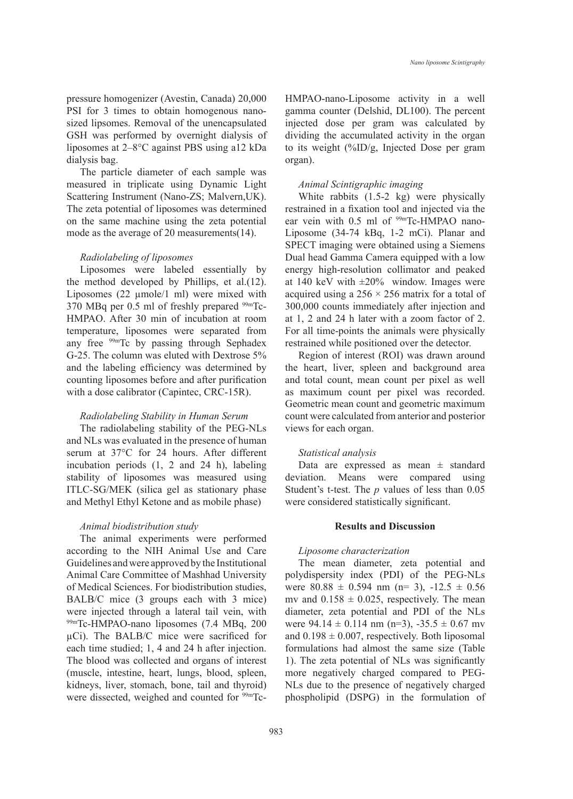pressure homogenizer (Avestin, Canada) 20,000 PSI for 3 times to obtain homogenous nanosized lipsomes. Removal of the unencapsulated GSH was performed by overnight dialysis of liposomes at 2–8°C against PBS using a12 kDa dialysis bag.

The particle diameter of each sample was measured in triplicate using Dynamic Light Scattering Instrument (Nano-ZS; Malvern,UK). The zeta potential of liposomes was determined on the same machine using the zeta potential mode as the average of 20 measurements(14).

## *Radiolabeling of liposomes*

Liposomes were labeled essentially by the method developed by Phillips, et al.(12). Liposomes (22  $\mu$ mole/1 ml) were mixed with 370 MBq per 0.5 ml of freshly prepared  $99m$ Tc-HMPAO. After 30 min of incubation at room temperature, liposomes were separated from any free 99mTc by passing through Sephadex G-25. The column was eluted with Dextrose 5% and the labeling efficiency was determined by counting liposomes before and after purification with a dose calibrator (Capintec, CRC-15R).

# *Radiolabeling Stability in Human Serum*

The radiolabeling stability of the PEG-NLs and NLs was evaluated in the presence of human serum at 37°C for 24 hours. After different incubation periods (1, 2 and 24 h), labeling stability of liposomes was measured using ITLC-SG/MEK (silica gel as stationary phase and Methyl Ethyl Ketone and as mobile phase)

## *Animal biodistribution study*

The animal experiments were performed according to the NIH Animal Use and Care Guidelines and were approved by the Institutional Animal Care Committee of Mashhad University of Medical Sciences. For biodistribution studies, BALB/C mice (3 groups each with 3 mice) were injected through a lateral tail vein, with 99mTc-HMPAO-nano liposomes (7.4 MBq, 200 µCi). The BALB/C mice were sacrificed for each time studied; 1, 4 and 24 h after injection. The blood was collected and organs of interest (muscle, intestine, heart, lungs, blood, spleen, kidneys, liver, stomach, bone, tail and thyroid) were dissected, weighed and counted for <sup>99m</sup>TcHMPAO-nano-Liposome activity in a well gamma counter (Delshid, DL100). The percent injected dose per gram was calculated by dividing the accumulated activity in the organ to its weight (%ID/g, Injected Dose per gram organ).

## *Animal Scintigraphic imaging*

White rabbits (1.5-2 kg) were physically restrained in a fixation tool and injected via the ear vein with 0.5 ml of <sup>99m</sup>Tc-HMPAO nano-Liposome (34-74 kBq, 1-2 mCi). Planar and SPECT imaging were obtained using a Siemens Dual head Gamma Camera equipped with a low energy high-resolution collimator and peaked at 140 keV with  $\pm 20\%$  window. Images were acquired using a  $256 \times 256$  matrix for a total of 300,000 counts immediately after injection and at 1, 2 and 24 h later with a zoom factor of 2. For all time-points the animals were physically restrained while positioned over the detector.

Region of interest (ROI) was drawn around the heart, liver, spleen and background area and total count, mean count per pixel as well as maximum count per pixel was recorded. Geometric mean count and geometric maximum count were calculated from anterior and posterior views for each organ.

## *Statistical analysis*

Data are expressed as mean  $\pm$  standard deviation. Means were compared using Student's t-test. The *p* values of less than 0.05 were considered statistically significant.

## **Results and Discussion**

#### *Liposome characterization*

The mean diameter, zeta potential and polydispersity index (PDI) of the PEG-NLs were  $80.88 \pm 0.594$  nm (n= 3),  $-12.5 \pm 0.56$ mv and  $0.158 \pm 0.025$ , respectively. The mean diameter, zeta potential and PDI of the NLs were  $94.14 \pm 0.114$  nm (n=3),  $-35.5 \pm 0.67$  mv and  $0.198 \pm 0.007$ , respectively. Both liposomal formulations had almost the same size (Table 1). The zeta potential of NLs was significantly more negatively charged compared to PEG-NLs due to the presence of negatively charged phospholipid (DSPG) in the formulation of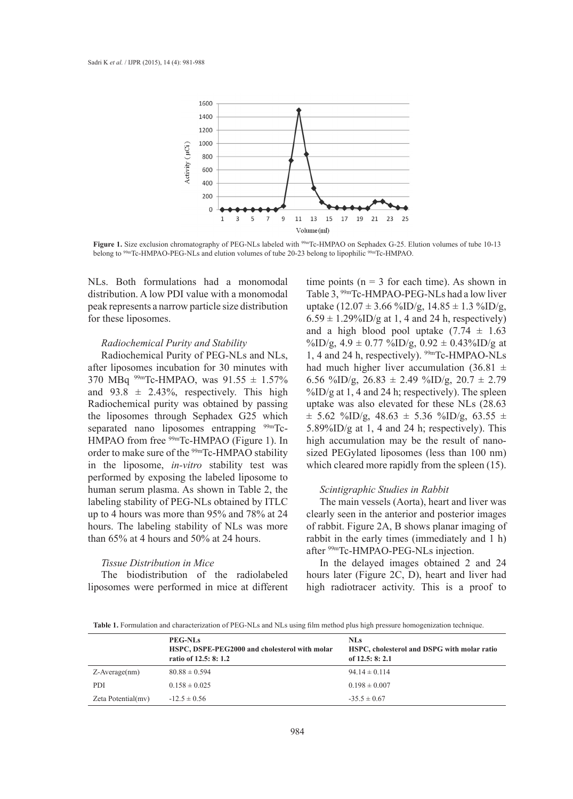

**Figure 1.** Size exclusion chromatography of PEG-NLs labeled with 99mTc-HMPAO on Sephadex G-25. Elution volumes of tube 10-13 belong to 99mTc-HMPAO-PEG-NLs and elution volumes of tube 20-23 belong to lipophilic 99mTc-HMPAO.

NLs. Both formulations had a monomodal distribution. A low PDI value with a monomodal peak represents a narrow particle size distribution for these liposomes.

#### *Radiochemical Purity and Stability*

Radiochemical Purity of PEG-NLs and NLs, after liposomes incubation for 30 minutes with 370 MBq  $^{99m}$ Tc-HMPAO, was  $91.55 \pm 1.57\%$ and  $93.8 \pm 2.43\%$ , respectively. This high Radiochemical purity was obtained by passing the liposomes through Sephadex G25 which separated nano liposomes entrapping <sup>99m</sup>Tc-HMPAO from free <sup>99m</sup>Tc-HMPAO (Figure 1). In order to make sure of the <sup>99m</sup>Tc-HMPAO stability in the liposome, *in-vitro* stability test was performed by exposing the labeled liposome to human serum plasma. As shown in Table 2, the labeling stability of PEG-NLs obtained by ITLC up to 4 hours was more than 95% and 78% at 24 hours. The labeling stability of NLs was more than 65% at 4 hours and 50% at 24 hours.

# *Tissue Distribution in Mice*

The biodistribution of the radiolabeled liposomes were performed in mice at different time points ( $n = 3$  for each time). As shown in Table 3, 99mTc-HMPAO-PEG-NLs had a low liver uptake  $(12.07 \pm 3.66 \text{ %ID/g}, 14.85 \pm 1.3 \text{ %ID/g},$  $6.59 \pm 1.29\%$ ID/g at 1, 4 and 24 h, respectively) and a high blood pool uptake  $(7.74 \pm 1.63)$ %ID/g,  $4.9 \pm 0.77$  %ID/g,  $0.92 \pm 0.43$ %ID/g at 1, 4 and 24 h, respectively). 99mTc-HMPAO-NLs had much higher liver accumulation  $(36.81 \pm$ 6.56 %ID/g,  $26.83 \pm 2.49$  %ID/g,  $20.7 \pm 2.79$  $\frac{\%}{\mathrm{ID}}$  at 1, 4 and 24 h; respectively). The spleen uptake was also elevated for these NLs (28.63  $\pm$  5.62 %ID/g, 48.63  $\pm$  5.36 %ID/g, 63.55  $\pm$ 5.89%ID/g at 1, 4 and 24 h; respectively). This high accumulation may be the result of nanosized PEGylated liposomes (less than 100 nm) which cleared more rapidly from the spleen  $(15)$ .

## *Scintigraphic Studies in Rabbit*

The main vessels (Aorta), heart and liver was clearly seen in the anterior and posterior images of rabbit. Figure 2A, B shows planar imaging of rabbit in the early times (immediately and 1 h) after 99mTc-HMPAO-PEG-NLs injection.

In the delayed images obtained 2 and 24 hours later (Figure 2C, D), heart and liver had high radiotracer activity. This is a proof to

**Table 1.** Formulation and characterization of PEG-NLs and NLs using film method plus high pressure homogenization technique.

|                     | <b>PEG-NLs</b><br>HSPC, DSPE-PEG2000 and cholesterol with molar<br>ratio of 12.5: 8: 1.2 | <b>NLs</b><br>HSPC, cholesterol and DSPG with molar ratio<br>of $12.5: 8: 2.1$ |
|---------------------|------------------------------------------------------------------------------------------|--------------------------------------------------------------------------------|
| $Z$ -Average $(nm)$ | $80.88 \pm 0.594$                                                                        | $94.14 \pm 0.114$                                                              |
| <b>PDI</b>          | $0.158 \pm 0.025$                                                                        | $0.198 \pm 0.007$                                                              |
| Zeta Potential(mv)  | $-12.5 \pm 0.56$                                                                         | $-35.5 \pm 0.67$                                                               |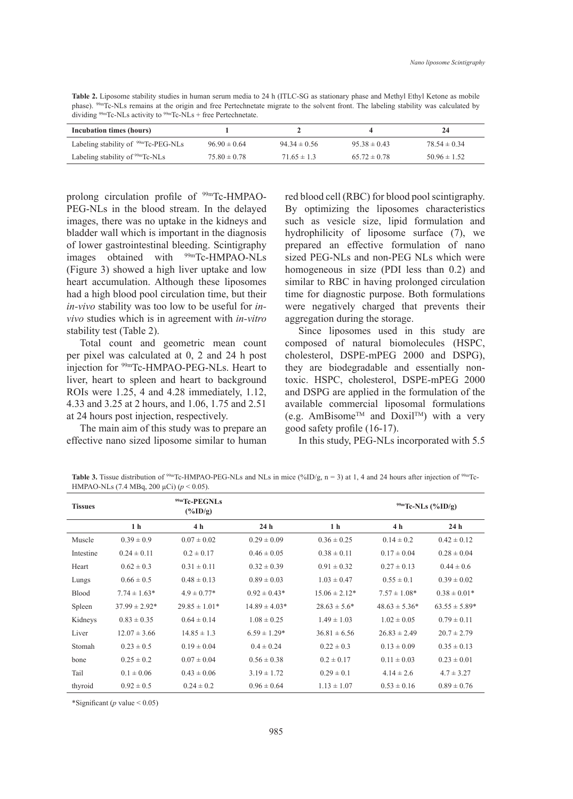**Table 2.** Liposome stability studies in human serum media to 24 h (ITLC-SG as stationary phase and Methyl Ethyl Ketone as mobile phase). 99mTc-NLs remains at the origin and free Pertechnetate migrate to the solvent front. The labeling stability was calculated by dividing <sup>99m</sup>Tc-NLs activity to <sup>99m</sup>Tc-NLs + free Pertechnetate.

| Incubation times (hours)                        |                  |                  |                  | 24               |
|-------------------------------------------------|------------------|------------------|------------------|------------------|
| Labeling stability of <sup>99m</sup> Tc-PEG-NLs | $96.90 \pm 0.64$ | $94.34 \pm 0.56$ | $95.38 \pm 0.43$ | $78.54 \pm 0.34$ |
| Labeling stability of $99m$ Tc-NLs              | $75.80 \pm 0.78$ | $71.65 \pm 1.3$  | $65.72 \pm 0.78$ | $50.96 \pm 1.52$ |

prolong circulation profile of <sup>99m</sup>Tc-HMPAO-PEG-NLs in the blood stream. In the delayed images, there was no uptake in the kidneys and bladder wall which is important in the diagnosis of lower gastrointestinal bleeding. Scintigraphy images obtained with 99mTc-HMPAO-NLs (Figure 3) showed a high liver uptake and low heart accumulation. Although these liposomes had a high blood pool circulation time, but their *in-vivo* stability was too low to be useful for *invivo* studies which is in agreement with *in-vitro* stability test (Table 2).

Total count and geometric mean count per pixel was calculated at 0, 2 and 24 h post injection for 99mTc-HMPAO-PEG-NLs. Heart to liver, heart to spleen and heart to background ROIs were 1.25, 4 and 4.28 immediately, 1.12, 4.33 and 3.25 at 2 hours, and 1.06, 1.75 and 2.51 at 24 hours post injection, respectively.

The main aim of this study was to prepare an effective nano sized liposome similar to human red blood cell (RBC) for blood pool scintigraphy. By optimizing the liposomes characteristics such as vesicle size, lipid formulation and hydrophilicity of liposome surface (7), we prepared an effective formulation of nano sized PEG-NLs and non-PEG NLs which were homogeneous in size (PDI less than 0.2) and similar to RBC in having prolonged circulation time for diagnostic purpose. Both formulations were negatively charged that prevents their aggregation during the storage.

Since liposomes used in this study are composed of natural biomolecules (HSPC, cholesterol, DSPE-mPEG 2000 and DSPG), they are biodegradable and essentially nontoxic. HSPC, cholesterol, DSPE-mPEG 2000 and DSPG are applied in the formulation of the available commercial liposomal formulations (e.g. AmBisome<sup>TM</sup> and Doxil<sup>TM</sup>) with a very good safety profile (16-17).

In this study, PEG-NLs incorporated with 5.5

Table 3. Tissue distribution of <sup>99m</sup>Tc-HMPAO-PEG-NLs and NLs in mice (%ID/g, n = 3) at 1, 4 and 24 hours after injection of <sup>99m</sup>Tc-HMPAO-NLs (7.4 MBq, 200 µCi) (*p* < 0.05).

| <b>Tissues</b> | <sup>99m</sup> Tc-PEGNLs<br>$(\%ID/g)$ |                   |                   |                   | $\frac{99m}{Tc-NLs}$ (%ID/g) |                   |
|----------------|----------------------------------------|-------------------|-------------------|-------------------|------------------------------|-------------------|
|                | 1 <sub>h</sub>                         | 4 h               | 24 <sub>h</sub>   | 1 <sub>h</sub>    | 4 h                          | 24 <sub>h</sub>   |
| Muscle         | $0.39 \pm 0.9$                         | $0.07 \pm 0.02$   | $0.29 \pm 0.09$   | $0.36 \pm 0.25$   | $0.14 \pm 0.2$               | $0.42 \pm 0.12$   |
| Intestine      | $0.24 \pm 0.11$                        | $0.2 \pm 0.17$    | $0.46 \pm 0.05$   | $0.38 \pm 0.11$   | $0.17 \pm 0.04$              | $0.28 \pm 0.04$   |
| Heart          | $0.62 \pm 0.3$                         | $0.31 \pm 0.11$   | $0.32 \pm 0.39$   | $0.91 \pm 0.32$   | $0.27 \pm 0.13$              | $0.44 \pm 0.6$    |
| Lungs          | $0.66 \pm 0.5$                         | $0.48 \pm 0.13$   | $0.89 \pm 0.03$   | $1.03 \pm 0.47$   | $0.55 \pm 0.1$               | $0.39 \pm 0.02$   |
| <b>Blood</b>   | $7.74 \pm 1.63*$                       | $4.9 \pm 0.77*$   | $0.92 \pm 0.43*$  | $15.06 \pm 2.12*$ | $7.57 \pm 1.08*$             | $0.38 \pm 0.01*$  |
| Spleen         | $37.99 \pm 2.92*$                      | $29.85 \pm 1.01*$ | $14.89 \pm 4.03*$ | $28.63 \pm 5.6^*$ | $48.63 \pm 5.36^*$           | $63.55 \pm 5.89*$ |
| Kidneys        | $0.83 \pm 0.35$                        | $0.64 \pm 0.14$   | $1.08 \pm 0.25$   | $1.49 \pm 1.03$   | $1.02 \pm 0.05$              | $0.79 \pm 0.11$   |
| Liver          | $12.07 \pm 3.66$                       | $14.85 \pm 1.3$   | $6.59 \pm 1.29*$  | $36.81 \pm 6.56$  | $26.83 \pm 2.49$             | $20.7 \pm 2.79$   |
| <b>Stomah</b>  | $0.23 \pm 0.5$                         | $0.19 \pm 0.04$   | $0.4 \pm 0.24$    | $0.22 \pm 0.3$    | $0.13 \pm 0.09$              | $0.35 \pm 0.13$   |
| bone           | $0.25 \pm 0.2$                         | $0.07 \pm 0.04$   | $0.56 \pm 0.38$   | $0.2 \pm 0.17$    | $0.11 \pm 0.03$              | $0.23 \pm 0.01$   |
| Tail           | $0.1 \pm 0.06$                         | $0.43 \pm 0.06$   | $3.19 \pm 1.72$   | $0.29 \pm 0.1$    | $4.14 \pm 2.6$               | $4.7 \pm 3.27$    |
| thyroid        | $0.92 \pm 0.5$                         | $0.24 \pm 0.2$    | $0.96 \pm 0.64$   | $1.13 \pm 1.07$   | $0.53 \pm 0.16$              | $0.89 \pm 0.76$   |

\*Significant ( $p$  value < 0.05)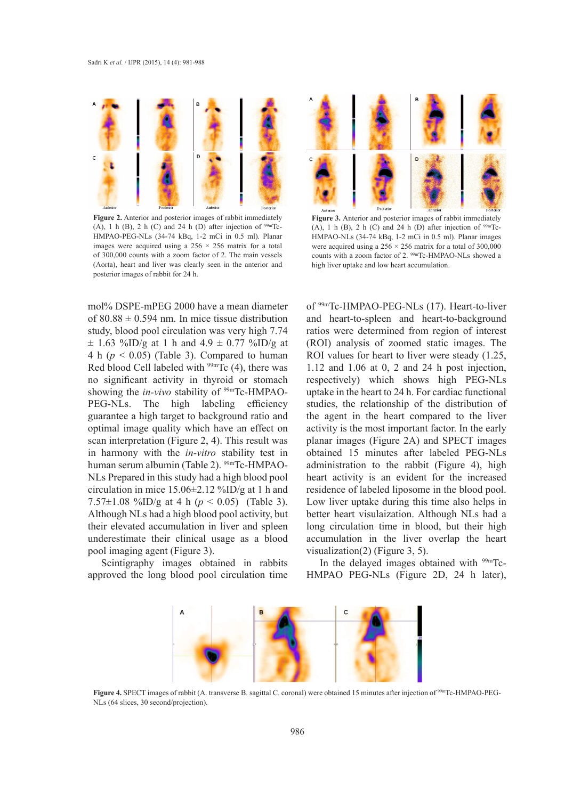

**Figure 2.** Anterior and posterior images of rabbit immediately (A), 1 h (B), 2 h (C) and 24 h (D) after injection of  $99m$ Tc-HMPAO-PEG-NLs (34-74 kBq, 1-2 mCi in 0.5 ml). Planar images were acquired using a  $256 \times 256$  matrix for a total of 300,000 counts with a zoom factor of 2. The main vessels (Aorta), heart and liver was clearly seen in the anterior and posterior images of rabbit for 24 h.

mol% DSPE-mPEG 2000 have a mean diameter of  $80.88 \pm 0.594$  nm. In mice tissue distribution study, blood pool circulation was very high 7.74  $\pm$  1.63 %ID/g at 1 h and 4.9  $\pm$  0.77 %ID/g at 4 h  $(p < 0.05)$  (Table 3). Compared to human Red blood Cell labeled with  $99m$ Tc (4), there was no significant activity in thyroid or stomach showing the *in-vivo* stability of <sup>99m</sup>Tc-HMPAO-PEG-NLs. The high labeling efficiency guarantee a high target to background ratio and optimal image quality which have an effect on scan interpretation (Figure 2, 4). This result was in harmony with the *in-vitro* stability test in human serum albumin (Table 2). <sup>99m</sup>Tc-HMPAO-NLs Prepared in this study had a high blood pool circulation in mice 15.06±2.12 %ID/g at 1 h and 7.57±1.08 %ID/g at 4 h (*p* < 0.05) (Table 3). Although NLs had a high blood pool activity, but their elevated accumulation in liver and spleen underestimate their clinical usage as a blood pool imaging agent (Figure 3).

Scintigraphy images obtained in rabbits approved the long blood pool circulation time



**Figure 3.** Anterior and posterior images of rabbit immediately (A), 1 h (B), 2 h (C) and 24 h (D) after injection of  $99m$ Tc-HMPAO-NLs (34-74 kBq, 1-2 mCi in 0.5 ml). Planar images were acquired using a  $256 \times 256$  matrix for a total of 300,000 counts with a zoom factor of 2. <sup>99m</sup>Tc-HMPAO-NLs showed a high liver uptake and low heart accumulation.

of 99mTc-HMPAO-PEG-NLs (17). Heart-to-liver and heart-to-spleen and heart-to-background ratios were determined from region of interest (ROI) analysis of zoomed static images. The ROI values for heart to liver were steady (1.25, 1.12 and 1.06 at 0, 2 and 24 h post injection, respectively) which shows high PEG-NLs uptake in the heart to 24 h. For cardiac functional studies, the relationship of the distribution of the agent in the heart compared to the liver activity is the most important factor. In the early planar images (Figure 2A) and SPECT images obtained 15 minutes after labeled PEG-NLs administration to the rabbit (Figure 4), high heart activity is an evident for the increased residence of labeled liposome in the blood pool. Low liver uptake during this time also helps in better heart visulaization. Although NLs had a long circulation time in blood, but their high accumulation in the liver overlap the heart visualization(2) (Figure 3, 5).

In the delayed images obtained with 99mTc-HMPAO PEG-NLs (Figure 2D, 24 h later),



**Figure 4.** SPECT images of rabbit (A. transverse B. sagittal C. coronal) were obtained 15 minutes after injection of 99mTc-HMPAO-PEG-NLs (64 slices, 30 second/projection).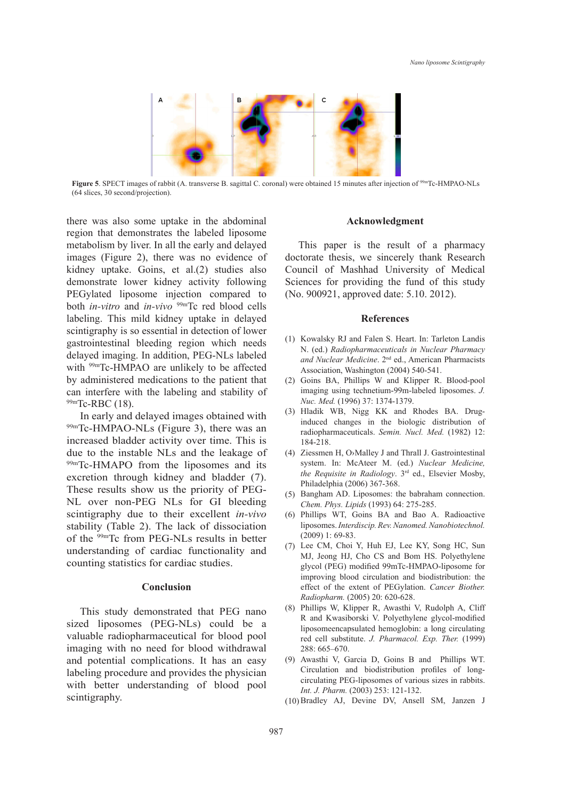

**Figure 5**. SPECT images of rabbit (A. transverse B. sagittal C. coronal) were obtained 15 minutes after injection of 99mTc-HMPAO-NLs (64 slices, 30 second/projection).

there was also some uptake in the abdominal region that demonstrates the labeled liposome metabolism by liver. In all the early and delayed images (Figure 2), there was no evidence of kidney uptake. Goins, et al.(2) studies also demonstrate lower kidney activity following PEGylated liposome injection compared to both *in-vitro* and *in-vivo* 99mTc red blood cells labeling. This mild kidney uptake in delayed scintigraphy is so essential in detection of lower gastrointestinal bleeding region which needs delayed imaging. In addition, PEG-NLs labeled with <sup>99m</sup>Tc-HMPAO are unlikely to be affected by administered medications to the patient that can interfere with the labeling and stability of  $99m$ Tc-RBC (18).

In early and delayed images obtained with 99mTc-HMPAO-NLs (Figure 3), there was an increased bladder activity over time. This is due to the instable NLs and the leakage of 99mTc-HMAPO from the liposomes and its excretion through kidney and bladder (7). These results show us the priority of PEG-NL over non-PEG NLs for GI bleeding scintigraphy due to their excellent *in-vivo* stability (Table 2). The lack of dissociation of the 99mTc from PEG-NLs results in better understanding of cardiac functionality and counting statistics for cardiac studies.

# **Conclusion**

This study demonstrated that PEG nano sized liposomes (PEG-NLs) could be a valuable radiopharmaceutical for blood pool imaging with no need for blood withdrawal and potential complications. It has an easy labeling procedure and provides the physician with better understanding of blood pool scintigraphy.

#### **Acknowledgment**

This paper is the result of a pharmacy doctorate thesis, we sincerely thank Research Council of Mashhad University of Medical Sciences for providing the fund of this study (No. 900921, approved date: 5.10. 2012).

#### **References**

- (1) Kowalsky RJ and Falen S. Heart. In: Tarleton Landis N. (ed.) *Radiopharmaceuticals in Nuclear Pharmacy and Nuclear Medicine*. 2nd ed., American Pharmacists Association, Washington (2004) 540-541.
- (2) Goins BA, Phillips W and Klipper R. Blood-pool imaging using technetium-99m-labeled liposomes. *J. Nuc. Med.* (1996) 37: 1374-1379.
- (3) Hladik WB, Nigg KK and Rhodes BA. Druginduced changes in the biologic distribution of radiopharmaceuticals. *Semin. Nucl. Med.* (1982) 12: 184-218.
- Ziessmen H, O›Malley J and Thrall J. Gastrointestinal (4) system. In: McAteer M. (ed.) *Nuclear Medicine, the Requisite in Radiology*. 3rd ed., Elsevier Mosby, Philadelphia (2006) 367-368.
- (5) Bangham AD. Liposomes: the babraham connection. *Chem. Phys. Lipids* (1993) 64: 275-285.
- Phillips WT, Goins BA and Bao A. Radioactive (6) liposomes. *Interdiscip. Rev. Nanomed. Nanobiotechnol.* (2009) 1: 69-83.
- (7) Lee CM, Choi Y, Huh EJ, Lee KY, Song HC, Sun MJ, Jeong HJ, Cho CS and Bom HS. Polyethylene glycol (PEG) modified 99mTc-HMPAO-liposome for improving blood circulation and biodistribution: the effect of the extent of PEGylation. *Cancer Biother. Radiopharm.* (2005) 20: 620-628.
- Phillips W, Klipper R, Awasthi V, Rudolph A, Cliff (8) R and Kwasiborski V. Polyethylene glycol-modified liposomeencapsulated hemoglobin: a long circulating red cell substitute. *J. Pharmacol. Exp. Ther.* (1999) 288: 665–670.
- Awasthi V, Garcia D, Goins B and Phillips WT. (9) Circulation and biodistribution profiles of longcirculating PEG-liposomes of various sizes in rabbits. *Int. J. Pharm.* (2003) 253: 121-132.
- (10) Bradley AJ, Devine DV, Ansell SM, Janzen J